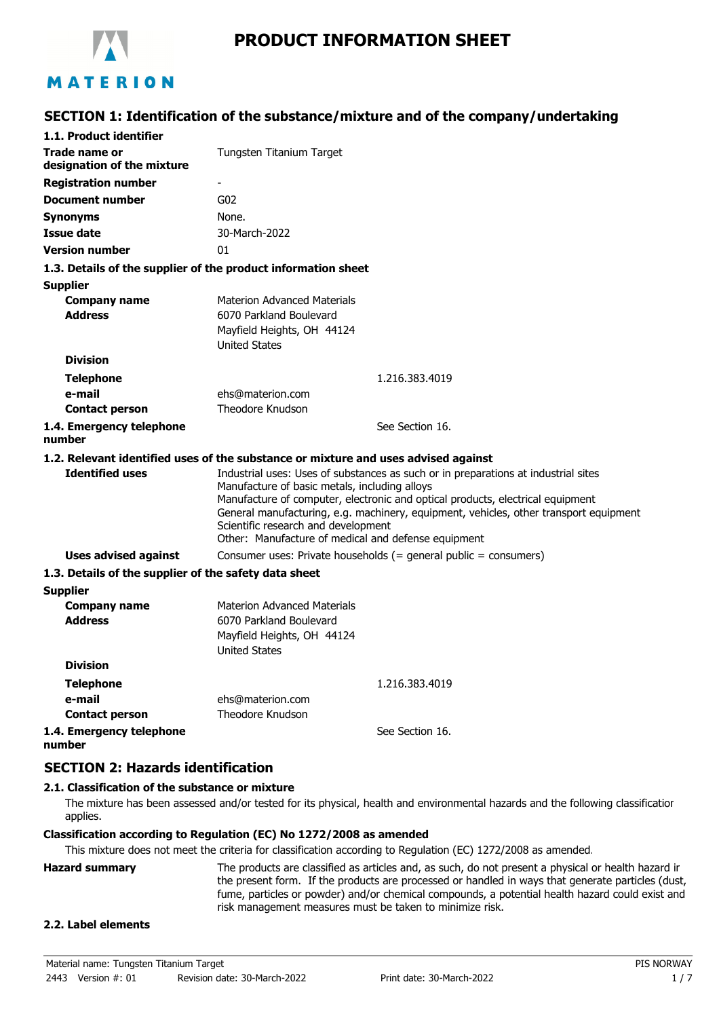

# **SECTION 1: Identification of the substance/mixture and of the company/undertaking**

| 1.1. Product identifier                                                            |                                                                                                                                             |                                                                                                                                                                                                                                                               |
|------------------------------------------------------------------------------------|---------------------------------------------------------------------------------------------------------------------------------------------|---------------------------------------------------------------------------------------------------------------------------------------------------------------------------------------------------------------------------------------------------------------|
| Trade name or<br>designation of the mixture                                        | Tungsten Titanium Target                                                                                                                    |                                                                                                                                                                                                                                                               |
| <b>Registration number</b>                                                         | ۰                                                                                                                                           |                                                                                                                                                                                                                                                               |
| <b>Document number</b>                                                             | G <sub>02</sub>                                                                                                                             |                                                                                                                                                                                                                                                               |
| <b>Synonyms</b>                                                                    | None.                                                                                                                                       |                                                                                                                                                                                                                                                               |
| <b>Issue date</b>                                                                  | 30-March-2022                                                                                                                               |                                                                                                                                                                                                                                                               |
| <b>Version number</b>                                                              | 01                                                                                                                                          |                                                                                                                                                                                                                                                               |
| 1.3. Details of the supplier of the product information sheet                      |                                                                                                                                             |                                                                                                                                                                                                                                                               |
| <b>Supplier</b>                                                                    |                                                                                                                                             |                                                                                                                                                                                                                                                               |
| <b>Company name</b><br><b>Address</b>                                              | <b>Materion Advanced Materials</b><br>6070 Parkland Boulevard<br>Mayfield Heights, OH 44124<br><b>United States</b>                         |                                                                                                                                                                                                                                                               |
| <b>Division</b>                                                                    |                                                                                                                                             |                                                                                                                                                                                                                                                               |
| <b>Telephone</b>                                                                   |                                                                                                                                             | 1.216.383.4019                                                                                                                                                                                                                                                |
| e-mail                                                                             | ehs@materion.com                                                                                                                            |                                                                                                                                                                                                                                                               |
| <b>Contact person</b>                                                              | Theodore Knudson                                                                                                                            |                                                                                                                                                                                                                                                               |
| 1.4. Emergency telephone<br>number                                                 |                                                                                                                                             | See Section 16.                                                                                                                                                                                                                                               |
| 1.2. Relevant identified uses of the substance or mixture and uses advised against |                                                                                                                                             |                                                                                                                                                                                                                                                               |
| <b>Identified uses</b>                                                             | Manufacture of basic metals, including alloys<br>Scientific research and development<br>Other: Manufacture of medical and defense equipment | Industrial uses: Uses of substances as such or in preparations at industrial sites<br>Manufacture of computer, electronic and optical products, electrical equipment<br>General manufacturing, e.g. machinery, equipment, vehicles, other transport equipment |
| <b>Uses advised against</b>                                                        |                                                                                                                                             | Consumer uses: Private households (= general public = consumers)                                                                                                                                                                                              |
| 1.3. Details of the supplier of the safety data sheet                              |                                                                                                                                             |                                                                                                                                                                                                                                                               |
| <b>Supplier</b>                                                                    |                                                                                                                                             |                                                                                                                                                                                                                                                               |
| <b>Company name</b><br><b>Address</b>                                              | <b>Materion Advanced Materials</b><br>6070 Parkland Boulevard<br>Mayfield Heights, OH 44124<br><b>United States</b>                         |                                                                                                                                                                                                                                                               |
| <b>Division</b>                                                                    |                                                                                                                                             |                                                                                                                                                                                                                                                               |
| <b>Telephone</b>                                                                   |                                                                                                                                             | 1.216.383.4019                                                                                                                                                                                                                                                |
| e-mail                                                                             | ehs@materion.com                                                                                                                            |                                                                                                                                                                                                                                                               |
| <b>Contact person</b>                                                              | Theodore Knudson                                                                                                                            |                                                                                                                                                                                                                                                               |
| 1.4. Emergency telephone<br>number                                                 |                                                                                                                                             | See Section 16.                                                                                                                                                                                                                                               |

## **SECTION 2: Hazards identification**

## **2.1. Classification of the substance or mixture**

The mixture has been assessed and/or tested for its physical, health and environmental hazards and the following classification applies.

#### **Classification according to Regulation (EC) No 1272/2008 as amended**

This mixture does not meet the criteria for classification according to Regulation (EC) 1272/2008 as amended.

**Hazard summary** The products are classified as articles and, as such, do not present a physical or health hazard in the present form. If the products are processed or handled in ways that generate particles (dust, fume, particles or powder) and/or chemical compounds, a potential health hazard could exist and risk management measures must be taken to minimize risk.

### **2.2. Label elements**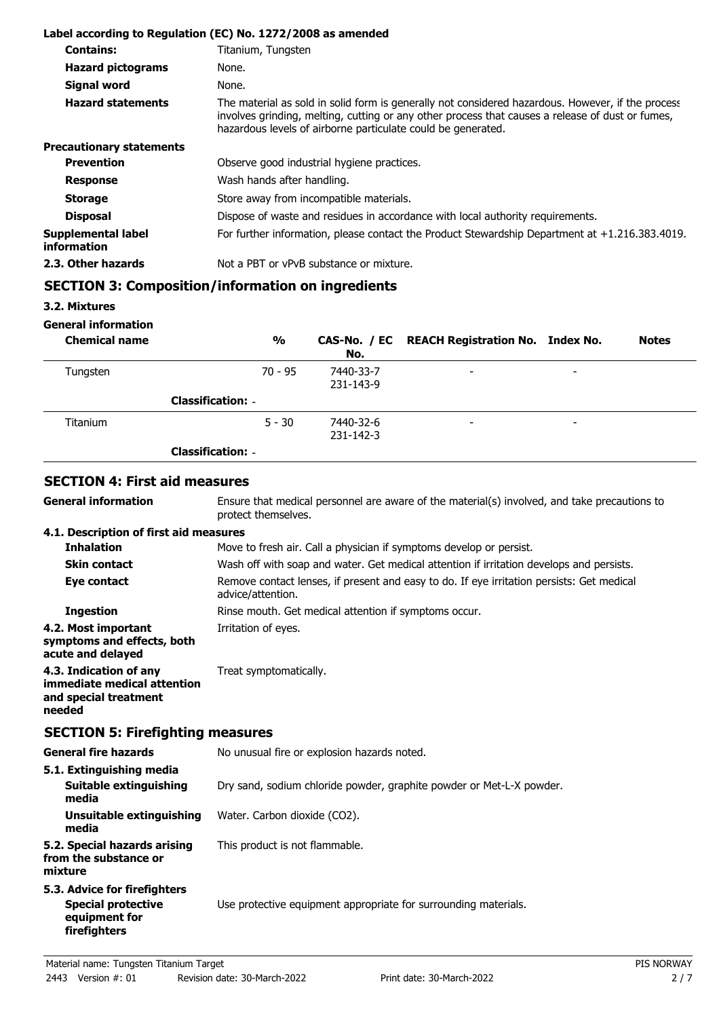|                                          | Label according to Regulation (EC) No. 1272/2008 as amended                                                                                                                                                                                                           |
|------------------------------------------|-----------------------------------------------------------------------------------------------------------------------------------------------------------------------------------------------------------------------------------------------------------------------|
| <b>Contains:</b>                         | Titanium, Tungsten                                                                                                                                                                                                                                                    |
| <b>Hazard pictograms</b>                 | None.                                                                                                                                                                                                                                                                 |
| <b>Signal word</b>                       | None.                                                                                                                                                                                                                                                                 |
| <b>Hazard statements</b>                 | The material as sold in solid form is generally not considered hazardous. However, if the process<br>involves grinding, melting, cutting or any other process that causes a release of dust or fumes,<br>hazardous levels of airborne particulate could be generated. |
| <b>Precautionary statements</b>          |                                                                                                                                                                                                                                                                       |
| <b>Prevention</b>                        | Observe good industrial hygiene practices.                                                                                                                                                                                                                            |
| <b>Response</b>                          | Wash hands after handling.                                                                                                                                                                                                                                            |
| <b>Storage</b>                           | Store away from incompatible materials.                                                                                                                                                                                                                               |
| <b>Disposal</b>                          | Dispose of waste and residues in accordance with local authority requirements.                                                                                                                                                                                        |
| Supplemental label<br><i>information</i> | For further information, please contact the Product Stewardship Department at $+1.216.383.4019$ .                                                                                                                                                                     |
| 2.3. Other hazards                       | Not a PBT or vPvB substance or mixture.                                                                                                                                                                                                                               |

# **SECTION 3: Composition/information on ingredients**

**3.2. Mixtures**

**General information**

**General information**

| <b>Chemical name</b> | $\frac{0}{0}$            | No.                    | CAS-No. / EC REACH Registration No. Index No. |                          | <b>Notes</b> |
|----------------------|--------------------------|------------------------|-----------------------------------------------|--------------------------|--------------|
| Tungsten             | $70 - 95$                | 7440-33-7<br>231-143-9 | -                                             | ۰                        |              |
|                      | <b>Classification: -</b> |                        |                                               |                          |              |
| <b>Titanium</b>      | $5 - 30$                 | 7440-32-6<br>231-142-3 | -                                             | $\overline{\phantom{0}}$ |              |
|                      | <b>Classification: -</b> |                        |                                               |                          |              |

## **SECTION 4: First aid measures**

Ensure that medical personnel are aware of the material(s) involved, and take precautions to protect themselves.

#### **4.1. Description of first aid measures**

| <b>Inhalation</b>                                                                        | Move to fresh air. Call a physician if symptoms develop or persist.                                            |
|------------------------------------------------------------------------------------------|----------------------------------------------------------------------------------------------------------------|
| <b>Skin contact</b>                                                                      | Wash off with soap and water. Get medical attention if irritation develops and persists.                       |
| Eye contact                                                                              | Remove contact lenses, if present and easy to do. If eye irritation persists: Get medical<br>advice/attention. |
| <b>Ingestion</b>                                                                         | Rinse mouth. Get medical attention if symptoms occur.                                                          |
| 4.2. Most important<br>symptoms and effects, both<br>acute and delayed                   | Irritation of eyes.                                                                                            |
| 4.3. Indication of any<br>immediate medical attention<br>and special treatment<br>needed | Treat symptomatically.                                                                                         |

# **SECTION 5: Firefighting measures**

| <b>General fire hazards</b>                                                                | No unusual fire or explosion hazards noted.                          |  |
|--------------------------------------------------------------------------------------------|----------------------------------------------------------------------|--|
| 5.1. Extinguishing media<br>Suitable extinguishing<br>media                                | Dry sand, sodium chloride powder, graphite powder or Met-L-X powder. |  |
| Unsuitable extinguishing<br>media                                                          | Water. Carbon dioxide (CO2).                                         |  |
| 5.2. Special hazards arising<br>from the substance or<br>mixture                           | This product is not flammable.                                       |  |
| 5.3. Advice for firefighters<br><b>Special protective</b><br>equipment for<br>firefighters | Use protective equipment appropriate for surrounding materials.      |  |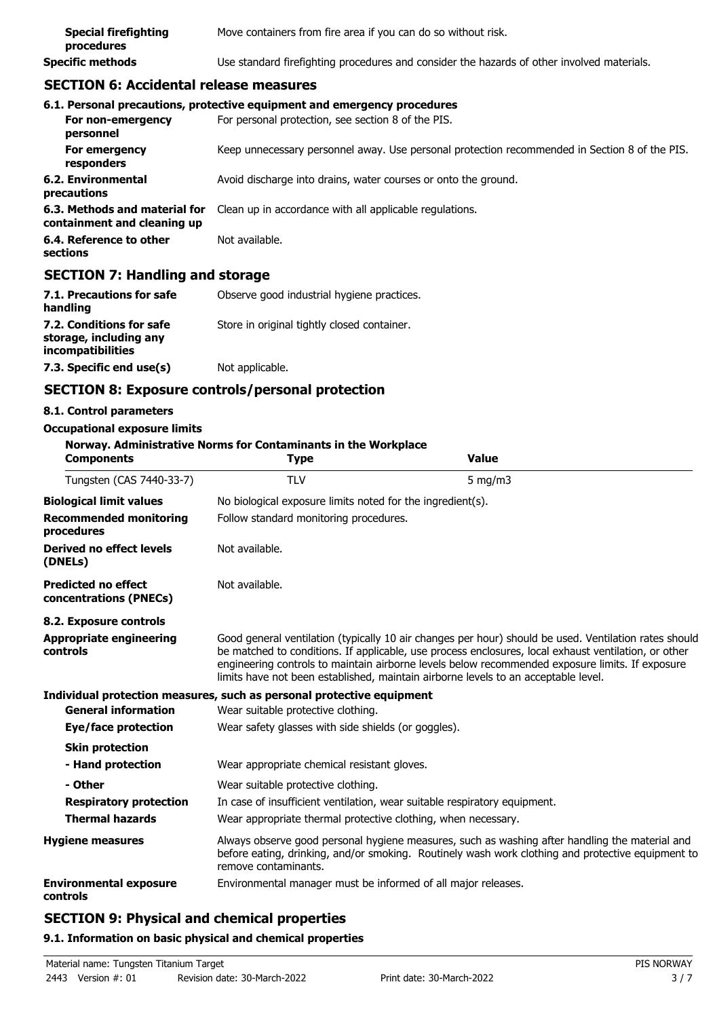| <b>Special firefighting</b><br>procedures | Move containers from fire area if you can do so without risk.                              |
|-------------------------------------------|--------------------------------------------------------------------------------------------|
| <b>Specific methods</b>                   | Use standard firefighting procedures and consider the hazards of other involved materials. |

## **SECTION 6: Accidental release measures**

|                                                              | 6.1. Personal precautions, protective equipment and emergency procedures                      |
|--------------------------------------------------------------|-----------------------------------------------------------------------------------------------|
| For non-emergency<br>personnel                               | For personal protection, see section 8 of the PIS.                                            |
| For emergency<br>responders                                  | Keep unnecessary personnel away. Use personal protection recommended in Section 8 of the PIS. |
| 6.2. Environmental<br>precautions                            | Avoid discharge into drains, water courses or onto the ground.                                |
| 6.3. Methods and material for<br>containment and cleaning up | Clean up in accordance with all applicable regulations.                                       |
| 6.4. Reference to other<br>sections                          | Not available.                                                                                |

#### **SECTION 7: Handling and storage**

| 7.1. Precautions for safe<br>handling                                   | Observe good industrial hygiene practices.  |
|-------------------------------------------------------------------------|---------------------------------------------|
| 7.2. Conditions for safe<br>storage, including any<br>incompatibilities | Store in original tightly closed container. |
| 7.3. Specific end use(s)                                                | Not applicable.                             |

# **SECTION 8: Exposure controls/personal protection**

#### **8.1. Control parameters**

#### **Occupational exposure limits Norway. Administrative Norms for Contaminants in the Workplace Components Type Value** Tungsten (CAS 7440-33-7) TLV 5 mg/m3 **Biological limit values** No biological exposure limits noted for the ingredient(s). **Recommended monitoring** Follow standard monitoring procedures. **procedures Derived no effect levels (DNELs)** Not available. **Predicted no effect concentrations (PNECs)** Not available. **8.2. Exposure controls** Good general ventilation (typically 10 air changes per hour) should be used. Ventilation rates should be matched to conditions. If applicable, use process enclosures, local exhaust ventilation, or other engineering controls to maintain airborne levels below recommended exposure limits. If exposure limits have not been established, maintain airborne levels to an acceptable level. **Appropriate engineering controls Individual protection measures, such as personal protective equipment General information** Wear suitable protective clothing. **Eye/face protection** Wear safety glasses with side shields (or goggles). **Skin protection - Hand protection** Wear appropriate chemical resistant gloves. - Other Wear suitable protective clothing. **Respiratory protection** In case of insufficient ventilation, wear suitable respiratory equipment. **Thermal hazards** Wear appropriate thermal protective clothing, when necessary. Always observe good personal hygiene measures, such as washing after handling the material and before eating, drinking, and/or smoking. Routinely wash work clothing and protective equipment to remove contaminants. **Hygiene measures Environmental exposure** Environmental manager must be informed of all major releases. **controls SECTION 9: Physical and chemical properties**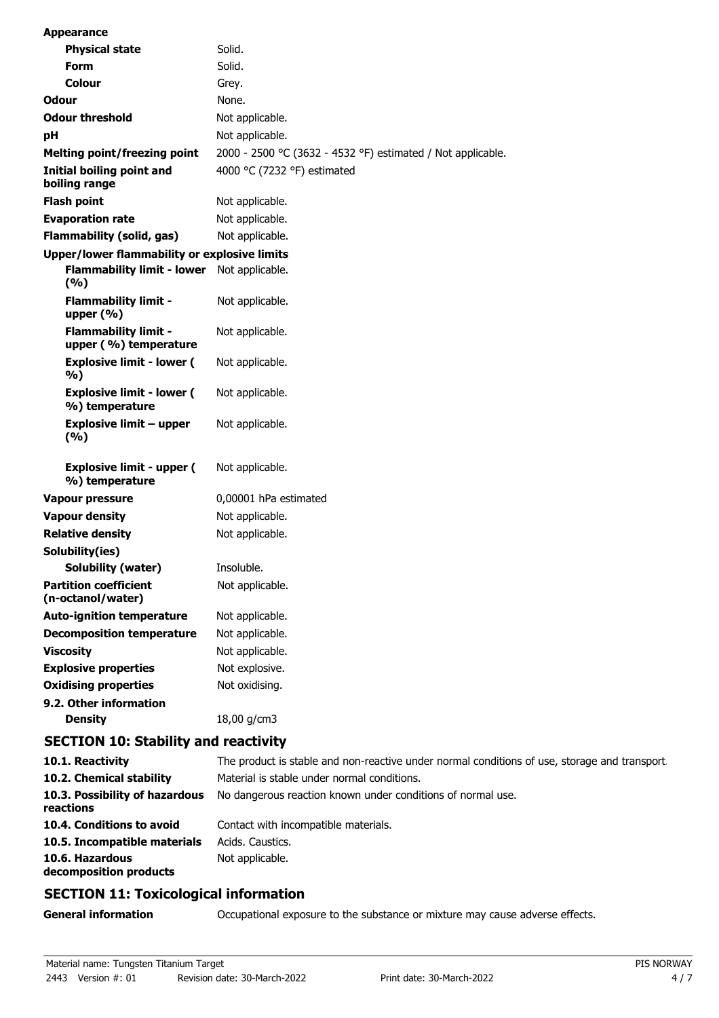| <b>Appearance</b>                                    |                                                             |
|------------------------------------------------------|-------------------------------------------------------------|
| <b>Physical state</b>                                | Solid.                                                      |
| <b>Form</b>                                          | Solid.                                                      |
| Colour                                               | Grey.                                                       |
| Odour                                                | None.                                                       |
| <b>Odour threshold</b>                               | Not applicable.                                             |
| рH                                                   | Not applicable.                                             |
| <b>Melting point/freezing point</b>                  | 2000 - 2500 °C (3632 - 4532 °F) estimated / Not applicable. |
| Initial boiling point and<br>boiling range           | 4000 °C (7232 °F) estimated                                 |
| <b>Flash point</b>                                   | Not applicable.                                             |
| <b>Evaporation rate</b>                              | Not applicable.                                             |
| <b>Flammability (solid, gas)</b>                     | Not applicable.                                             |
| <b>Upper/lower flammability or explosive limits</b>  |                                                             |
| <b>Flammability limit - lower</b><br>(%)             | Not applicable.                                             |
| <b>Flammability limit -</b><br>upper $(\% )$         | Not applicable.                                             |
| <b>Flammability limit -</b><br>upper (%) temperature | Not applicable.                                             |
| <b>Explosive limit - lower (</b><br>%)               | Not applicable.                                             |
| <b>Explosive limit - lower (</b><br>%) temperature   | Not applicable.                                             |
| <b>Explosive limit - upper</b><br>(9/6)              | Not applicable.                                             |
| <b>Explosive limit - upper (</b><br>%) temperature   | Not applicable.                                             |
| <b>Vapour pressure</b>                               | 0,00001 hPa estimated                                       |
| <b>Vapour density</b>                                | Not applicable.                                             |
| <b>Relative density</b>                              | Not applicable.                                             |
| Solubility(ies)                                      |                                                             |
| <b>Solubility (water)</b>                            | Insoluble.                                                  |
| <b>Partition coefficient</b><br>(n-octanol/water)    | Not applicable.                                             |
| <b>Auto-ignition temperature</b>                     | Not applicable.                                             |
| <b>Decomposition temperature</b>                     | Not applicable.                                             |
| <b>Viscosity</b>                                     | Not applicable.                                             |
| <b>Explosive properties</b>                          | Not explosive.                                              |
| <b>Oxidising properties</b>                          | Not oxidising.                                              |
| 9.2. Other information<br><b>Density</b>             | 18,00 g/cm3                                                 |
| 18. 81. LUL                                          |                                                             |

# **SECTION 10: Stability and reactivity**

| 10.1. Reactivity                            | The product is stable and non-reactive under normal conditions of use, storage and transport. |
|---------------------------------------------|-----------------------------------------------------------------------------------------------|
| 10.2. Chemical stability                    | Material is stable under normal conditions.                                                   |
| 10.3. Possibility of hazardous<br>reactions | No dangerous reaction known under conditions of normal use.                                   |
| 10.4. Conditions to avoid                   | Contact with incompatible materials.                                                          |
| 10.5. Incompatible materials                | Acids, Caustics,                                                                              |
| 10.6. Hazardous<br>decomposition products   | Not applicable.                                                                               |

# **SECTION 11: Toxicological information**

# **General information CCCUPATION** Occupational exposure to the substance or mixture may cause adverse effects.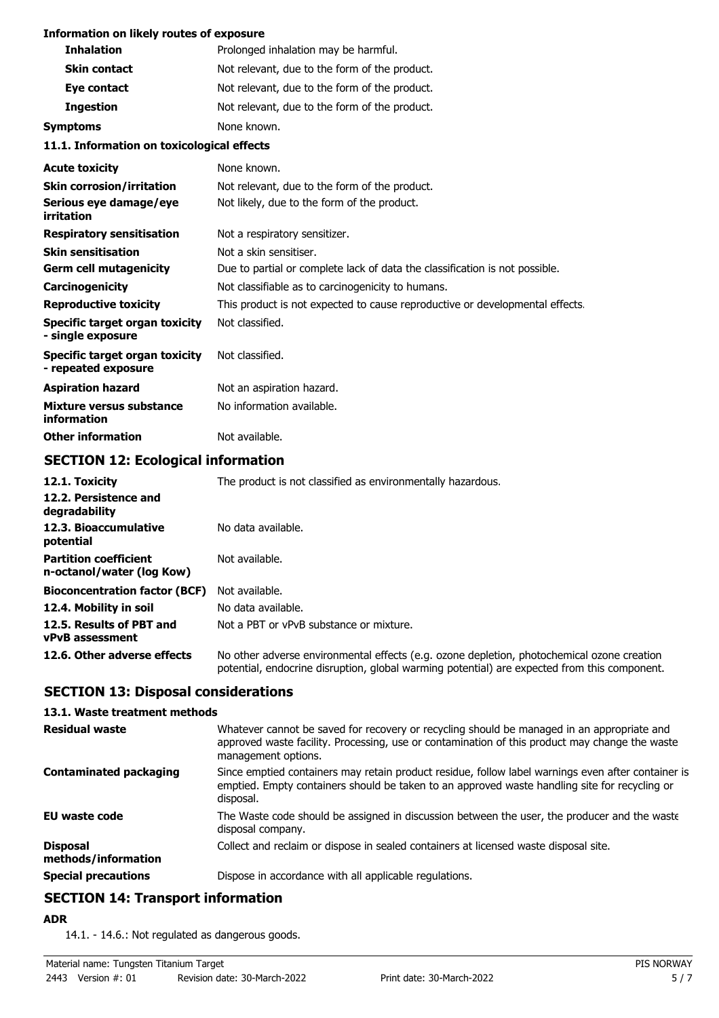#### **Information on likely routes of exposure**

| <b>Inhalation</b>                                     | Prolonged inhalation may be harmful.                                         |  |
|-------------------------------------------------------|------------------------------------------------------------------------------|--|
| <b>Skin contact</b>                                   | Not relevant, due to the form of the product.                                |  |
| Eye contact                                           | Not relevant, due to the form of the product.                                |  |
| <b>Ingestion</b>                                      | Not relevant, due to the form of the product.                                |  |
| <b>Symptoms</b>                                       | None known.                                                                  |  |
| 11.1. Information on toxicological effects            |                                                                              |  |
| <b>Acute toxicity</b>                                 | None known.                                                                  |  |
| <b>Skin corrosion/irritation</b>                      | Not relevant, due to the form of the product.                                |  |
| Serious eye damage/eye<br>irritation                  | Not likely, due to the form of the product.                                  |  |
| <b>Respiratory sensitisation</b>                      | Not a respiratory sensitizer.                                                |  |
| <b>Skin sensitisation</b>                             | Not a skin sensitiser.                                                       |  |
| <b>Germ cell mutagenicity</b>                         | Due to partial or complete lack of data the classification is not possible.  |  |
| Carcinogenicity                                       | Not classifiable as to carcinogenicity to humans.                            |  |
| <b>Reproductive toxicity</b>                          | This product is not expected to cause reproductive or developmental effects. |  |
| Specific target organ toxicity<br>- single exposure   | Not classified.                                                              |  |
| Specific target organ toxicity<br>- repeated exposure | Not classified.                                                              |  |
| <b>Aspiration hazard</b>                              | Not an aspiration hazard.                                                    |  |
| <b>Mixture versus substance</b><br>information        | No information available.                                                    |  |
| <b>Other information</b>                              | Not available.                                                               |  |

# **SECTION 12: Ecological information**

| 12.1. Toxicity                                            | The product is not classified as environmentally hazardous.                                                                                                                                |
|-----------------------------------------------------------|--------------------------------------------------------------------------------------------------------------------------------------------------------------------------------------------|
| 12.2. Persistence and<br>degradability                    |                                                                                                                                                                                            |
| 12.3. Bioaccumulative<br>potential                        | No data available.                                                                                                                                                                         |
| <b>Partition coefficient</b><br>n-octanol/water (log Kow) | Not available.                                                                                                                                                                             |
| <b>Bioconcentration factor (BCF)</b>                      | Not available.                                                                                                                                                                             |
| 12.4. Mobility in soil                                    | No data available.                                                                                                                                                                         |
| 12.5. Results of PBT and<br><b>vPvB</b> assessment        | Not a PBT or vPvB substance or mixture.                                                                                                                                                    |
| 12.6. Other adverse effects                               | No other adverse environmental effects (e.g. ozone depletion, photochemical ozone creation<br>potential, endocrine disruption, global warming potential) are expected from this component. |

# **SECTION 13: Disposal considerations**

#### **13.1. Waste treatment methods**

| <b>Residual waste</b>                  | Whatever cannot be saved for recovery or recycling should be managed in an appropriate and<br>approved waste facility. Processing, use or contamination of this product may change the waste<br>management options. |
|----------------------------------------|---------------------------------------------------------------------------------------------------------------------------------------------------------------------------------------------------------------------|
| <b>Contaminated packaging</b>          | Since emptied containers may retain product residue, follow label warnings even after container is<br>emptied. Empty containers should be taken to an approved waste handling site for recycling or<br>disposal.    |
| EU waste code                          | The Waste code should be assigned in discussion between the user, the producer and the waste<br>disposal company.                                                                                                   |
| <b>Disposal</b><br>methods/information | Collect and reclaim or dispose in sealed containers at licensed waste disposal site.                                                                                                                                |
| <b>Special precautions</b>             | Dispose in accordance with all applicable regulations.                                                                                                                                                              |

# **SECTION 14: Transport information**

**ADR**

14.1. - 14.6.: Not regulated as dangerous goods.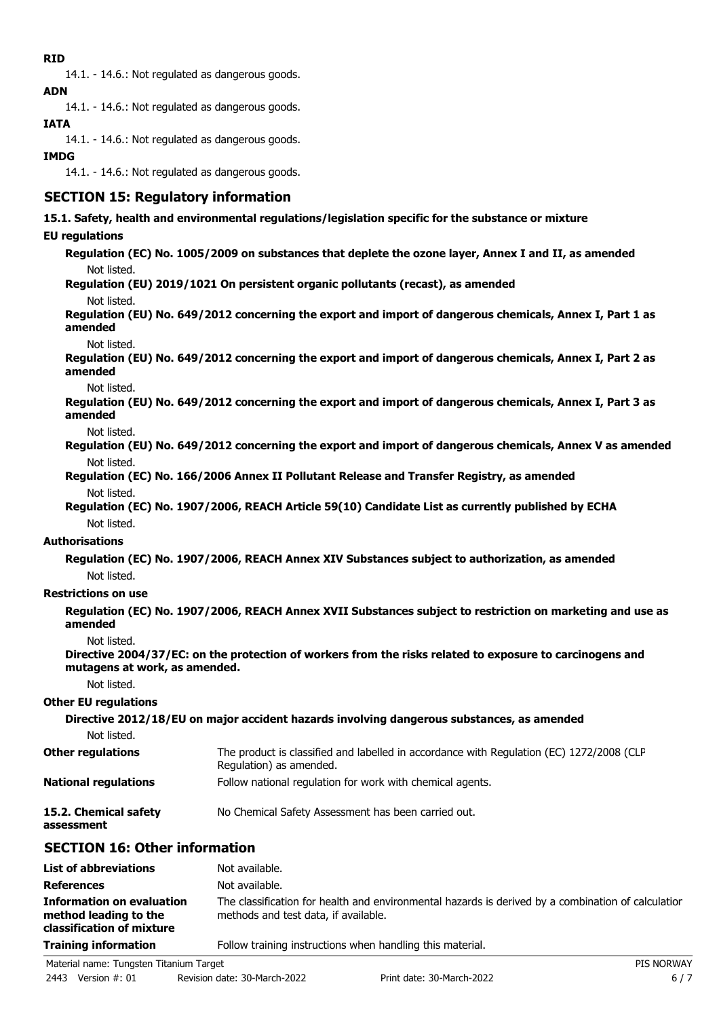## **RID**

14.1. - 14.6.: Not regulated as dangerous goods. **ADN**

14.1. - 14.6.: Not regulated as dangerous goods.

# **IATA**

14.1. - 14.6.: Not regulated as dangerous goods.

# **IMDG**

14.1. - 14.6.: Not regulated as dangerous goods.

# **SECTION 15: Regulatory information**

## **15.1. Safety, health and environmental regulations/legislation specific for the substance or mixture**

## **EU regulations**

**Regulation (EC) No. 1005/2009 on substances that deplete the ozone layer, Annex I and II, as amended** Not listed.

**Regulation (EU) 2019/1021 On persistent organic pollutants (recast), as amended**

Not listed.

**Regulation (EU) No. 649/2012 concerning the export and import of dangerous chemicals, Annex I, Part 1 as amended**

Not listed.

**Regulation (EU) No. 649/2012 concerning the export and import of dangerous chemicals, Annex I, Part 2 as amended**

Not listed.

**Regulation (EU) No. 649/2012 concerning the export and import of dangerous chemicals, Annex I, Part 3 as amended**

Not listed.

- **Regulation (EU) No. 649/2012 concerning the export and import of dangerous chemicals, Annex V as amended** Not listed.
- **Regulation (EC) No. 166/2006 Annex II Pollutant Release and Transfer Registry, as amended** Not listed.
- **Regulation (EC) No. 1907/2006, REACH Article 59(10) Candidate List as currently published by ECHA** Not listed.

## **Authorisations**

**Regulation (EC) No. 1907/2006, REACH Annex XIV Substances subject to authorization, as amended** Not listed.

## **Restrictions on use**

**Regulation (EC) No. 1907/2006, REACH Annex XVII Substances subject to restriction on marketing and use as amended**

Not listed.

```
Directive 2004/37/EC: on the protection of workers from the risks related to exposure to carcinogens and
mutagens at work, as amended.
```
Not listed.

#### **Other EU regulations**

#### **Directive 2012/18/EU on major accident hazards involving dangerous substances, as amended** Not listed. The product is classified and labelled in accordance with Regulation (EC) 1272/2008 (CLP Regulation) as amended. **Other regulations National regulations** Follow national regulation for work with chemical agents.

**15.2. Chemical safety** No Chemical Safety Assessment has been carried out.

**assessment**

# **SECTION 16: Other information**

| <b>List of abbreviations</b>                                                           | Not available.                                                                                                                             |
|----------------------------------------------------------------------------------------|--------------------------------------------------------------------------------------------------------------------------------------------|
| <b>References</b>                                                                      | Not available.                                                                                                                             |
| <b>Information on evaluation</b><br>method leading to the<br>classification of mixture | The classification for health and environmental hazards is derived by a combination of calculation<br>methods and test data, if available. |
| <b>Training information</b>                                                            | Follow training instructions when handling this material.                                                                                  |